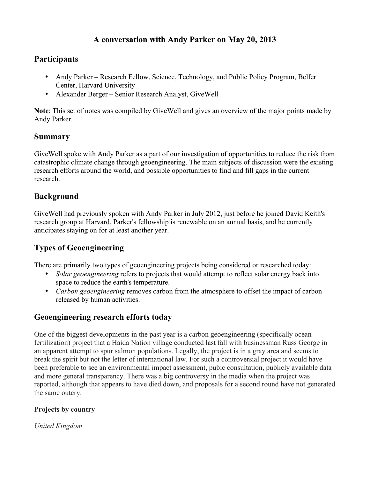# **A conversation with Andy Parker on May 20, 2013**

# **Participants**

- Andy Parker Research Fellow, Science, Technology, and Public Policy Program, Belfer Center, Harvard University
- Alexander Berger Senior Research Analyst, GiveWell

**Note**: This set of notes was compiled by GiveWell and gives an overview of the major points made by Andy Parker.

## **Summary**

GiveWell spoke with Andy Parker as a part of our investigation of opportunities to reduce the risk from catastrophic climate change through geoengineering. The main subjects of discussion were the existing research efforts around the world, and possible opportunities to find and fill gaps in the current research.

## **Background**

GiveWell had previously spoken with Andy Parker in July 2012, just before he joined David Keith's research group at Harvard. Parker's fellowship is renewable on an annual basis, and he currently anticipates staying on for at least another year.

# **Types of Geoengineering**

There are primarily two types of geoengineering projects being considered or researched today:

- *Solar geoengineering* refers to projects that would attempt to reflect solar energy back into space to reduce the earth's temperature.
- *Carbon geoengineering* removes carbon from the atmosphere to offset the impact of carbon released by human activities.

# **Geoengineering research efforts today**

One of the biggest developments in the past year is a carbon geoengineering (specifically ocean fertilization) project that a Haida Nation village conducted last fall with businessman Russ George in an apparent attempt to spur salmon populations. Legally, the project is in a gray area and seems to break the spirit but not the letter of international law. For such a controversial project it would have been preferable to see an environmental impact assessment, pubic consultation, publicly available data and more general transparency. There was a big controversy in the media when the project was reported, although that appears to have died down, and proposals for a second round have not generated the same outcry.

### **Projects by country**

*United Kingdom*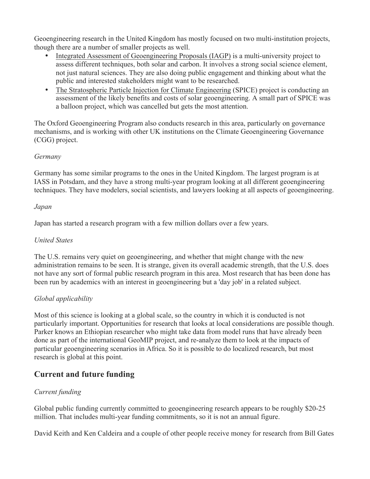Geoengineering research in the United Kingdom has mostly focused on two multi-institution projects, though there are a number of smaller projects as well.

- Integrated Assessment of Geoengineering Proposals (IAGP) is a multi-university project to assess different techniques, both solar and carbon. It involves a strong social science element, not just natural sciences. They are also doing public engagement and thinking about what the public and interested stakeholders might want to be researched.
- The Stratospheric Particle Injection for Climate Engineering (SPICE) project is conducting an assessment of the likely benefits and costs of solar geoengineering. A small part of SPICE was a balloon project, which was cancelled but gets the most attention.

The Oxford Geoengineering Program also conducts research in this area, particularly on governance mechanisms, and is working with other UK institutions on the Climate Geoengineering Governance (CGG) project.

#### *Germany*

Germany has some similar programs to the ones in the United Kingdom. The largest program is at IASS in Potsdam, and they have a strong multi-year program looking at all different geoengineering techniques. They have modelers, social scientists, and lawyers looking at all aspects of geoengineering.

#### *Japan*

Japan has started a research program with a few million dollars over a few years.

### *United States*

The U.S. remains very quiet on geoengineering, and whether that might change with the new administration remains to be seen. It is strange, given its overall academic strength, that the U.S. does not have any sort of formal public research program in this area. Most research that has been done has been run by academics with an interest in geoengineering but a 'day job' in a related subject.

### *Global applicability*

Most of this science is looking at a global scale, so the country in which it is conducted is not particularly important. Opportunities for research that looks at local considerations are possible though. Parker knows an Ethiopian researcher who might take data from model runs that have already been done as part of the international GeoMIP project, and re-analyze them to look at the impacts of particular geoengineering scenarios in Africa. So it is possible to do localized research, but most research is global at this point.

## **Current and future funding**

### *Current funding*

Global public funding currently committed to geoengineering research appears to be roughly \$20-25 million. That includes multi-year funding commitments, so it is not an annual figure.

David Keith and Ken Caldeira and a couple of other people receive money for research from Bill Gates